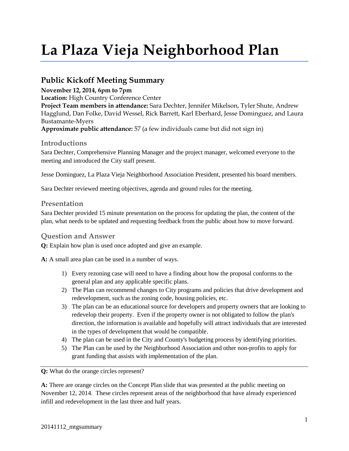# **La Plaza Vieja Neighborhood Plan**

# **Public Kickoff Meeting Summary**

**November 12, 2014, 6pm to 7pm Location:** High Country Conference Center **Project Team members in attendance:** Sara Dechter, Jennifer Mikelson, Tyler Shute, Andrew Hagglund, Dan Folke, David Wessel, Rick Barrett, Karl Eberhard, Jesse Dominguez, and Laura Bustamante-Myers **Approximate public attendance:** 57 (a few individuals came but did not sign in)

### **Introductions**

Sara Dechter, Comprehensive Planning Manager and the project manager, welcomed everyone to the meeting and introduced the City staff present.

Jesse Dominguez, La Plaza Vieja Neighborhood Association President, presented his board members.

Sara Dechter reviewed meeting objectives, agenda and ground rules for the meeting.

### **Presentation**

Sara Dechter provided 15 minute presentation on the process for updating the plan, the content of the plan, what needs to be updated and requesting feedback from the public about how to move forward.

### **Question and Answer**

**Q:** Explain how plan is used once adopted and give an example.

**A:** A small area plan can be used in a number of ways.

- 1) Every rezoning case will need to have a finding about how the proposal conforms to the general plan and any applicable specific plans.
- 2) The Plan can recommend changes to City programs and policies that drive development and redevelopment, such as the zoning code, housing policies, etc.
- 3) The plan can be an educational source for developers and property owners that are looking to redevelop their property. Even if the property owner is not obligated to follow the plan's direction, the information is available and hopefully will attract individuals that are interested in the types of development that would be compatible.
- 4) The plan can be used in the City and County's budgeting process by identifying priorities.
- 5) The Plan can be used by the Neighborhood Association and other non-profits to apply for grant funding that assists with implementation of the plan.

**Q:** What do the orange circles represent?

**A:** There are orange circles on the Concept Plan slide that was presented at the public meeting on November 12, 2014. These circles represent areas of the neighborhood that have already experienced infill and redevelopment in the last three and half years.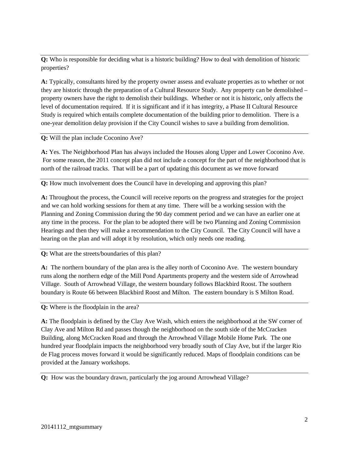**Q:** Who is responsible for deciding what is a historic building? How to deal with demolition of historic properties?

**A:** Typically, consultants hired by the property owner assess and evaluate properties as to whether or not they are historic through the preparation of a Cultural Resource Study. Any property can be demolished – property owners have the right to demolish their buildings. Whether or not it is historic, only affects the level of documentation required. If it is significant and if it has integrity, a Phase II Cultural Resource Study is required which entails complete documentation of the building prior to demolition. There is a one-year demolition delay provision if the City Council wishes to save a building from demolition.

#### **Q:** Will the plan include Coconino Ave?

**A:** Yes. The Neighborhood Plan has always included the Houses along Upper and Lower Coconino Ave. For some reason, the 2011 concept plan did not include a concept for the part of the neighborhood that is north of the railroad tracks. That will be a part of updating this document as we move forward

**Q:** How much involvement does the Council have in developing and approving this plan?

**A:** Throughout the process, the Council will receive reports on the progress and strategies for the project and we can hold working sessions for them at any time. There will be a working session with the Planning and Zoning Commission during the 90 day comment period and we can have an earlier one at any time in the process. For the plan to be adopted there will be two Planning and Zoning Commission Hearings and then they will make a recommendation to the City Council. The City Council will have a hearing on the plan and will adopt it by resolution, which only needs one reading.

#### **Q:** What are the streets/boundaries of this plan?

**A:** The northern boundary of the plan area is the alley north of Coconino Ave. The western boundary runs along the northern edge of the Mill Pond Apartments property and the western side of Arrowhead Village. South of Arrowhead Village, the western boundary follows Blackbird Roost. The southern boundary is Route 66 between Blackbird Roost and Milton. The eastern boundary is S Milton Road.

**Q:** Where is the floodplain in the area?

**A:** The floodplain is defined by the Clay Ave Wash, which enters the neighborhood at the SW corner of Clay Ave and Milton Rd and passes though the neighborhood on the south side of the McCracken Building, along McCracken Road and through the Arrowhead Village Mobile Home Park. The one hundred year floodplain impacts the neighborhood very broadly south of Clay Ave, but if the larger Rio de Flag process moves forward it would be significantly reduced. Maps of floodplain conditions can be provided at the January workshops.

**Q:** How was the boundary drawn, particularly the jog around Arrowhead Village?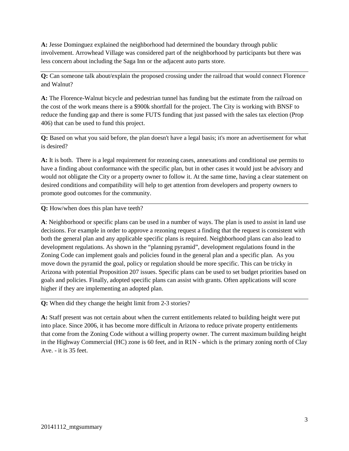**A:** Jesse Dominguez explained the neighborhood had determined the boundary through public involvement. Arrowhead Village was considered part of the neighborhood by participants but there was less concern about including the Saga Inn or the adjacent auto parts store.

**Q:** Can someone talk about/explain the proposed crossing under the railroad that would connect Florence and Walnut?

**A:** The Florence-Walnut bicycle and pedestrian tunnel has funding but the estimate from the railroad on the cost of the work means there is a \$900k shortfall for the project. The City is working with BNSF to reduce the funding gap and there is some FUTS funding that just passed with the sales tax election (Prop 406) that can be used to fund this project.

**Q:** Based on what you said before, the plan doesn't have a legal basis; it's more an advertisement for what is desired?

**A:** It is both. There is a legal requirement for rezoning cases, annexations and conditional use permits to have a finding about conformance with the specific plan, but in other cases it would just be advisory and would not obligate the City or a property owner to follow it. At the same time, having a clear statement on desired conditions and compatibility will help to get attention from developers and property owners to promote good outcomes for the community.

**Q:** How/when does this plan have teeth?

**A**: Neighborhood or specific plans can be used in a number of ways. The plan is used to assist in land use decisions. For example in order to approve a rezoning request a finding that the request is consistent with both the general plan and any applicable specific plans is required. Neighborhood plans can also lead to development regulations. As shown in the "planning pyramid", development regulations found in the Zoning Code can implement goals and policies found in the general plan and a specific plan. As you move down the pyramid the goal, policy or regulation should be more specific. This can be tricky in Arizona with potential Proposition 207 issues. Specific plans can be used to set budget priorities based on goals and policies. Finally, adopted specific plans can assist with grants. Often applications will score higher if they are implementing an adopted plan.

**Q:** When did they change the height limit from 2-3 stories?

**A:** Staff present was not certain about when the current entitlements related to building height were put into place. Since 2006, it has become more difficult in Arizona to reduce private property entitlements that come from the Zoning Code without a willing property owner. The current maximum building height in the Highway Commercial (HC) zone is 60 feet, and in R1N - which is the primary zoning north of Clay Ave. - it is 35 feet.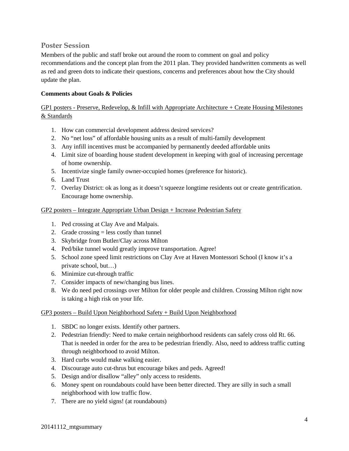# **Poster Session**

Members of the public and staff broke out around the room to comment on goal and policy recommendations and the concept plan from the 2011 plan. They provided handwritten comments as well as red and green dots to indicate their questions, concerns and preferences about how the City should update the plan.

#### **Comments about Goals & Policies**

## GP1 posters - Preserve, Redevelop, & Infill with Appropriate Architecture + Create Housing Milestones & Standards

- 1. How can commercial development address desired services?
- 2. No "net loss" of affordable housing units as a result of multi-family development
- 3. Any infill incentives must be accompanied by permanently deeded affordable units
- 4. Limit size of boarding house student development in keeping with goal of increasing percentage of home ownership.
- 5. Incentivize single family owner-occupied homes (preference for historic).
- 6. Land Trust
- 7. Overlay District: ok as long as it doesn't squeeze longtime residents out or create gentrification. Encourage home ownership.

#### GP2 posters – Integrate Appropriate Urban Design + Increase Pedestrian Safety

- 1. Ped crossing at Clay Ave and Malpais.
- 2. Grade crossing  $=$  less costly than tunnel
- 3. Skybridge from Butler/Clay across Milton
- 4. Ped/bike tunnel would greatly improve transportation. Agree!
- 5. School zone speed limit restrictions on Clay Ave at Haven Montessori School (I know it's a private school, but…)
- 6. Minimize cut-through traffic
- 7. Consider impacts of new/changing bus lines.
- 8. We do need ped crossings over Milton for older people and children. Crossing Milton right now is taking a high risk on your life.

#### GP3 posters – Build Upon Neighborhood Safety + Build Upon Neighborhood

- 1. SBDC no longer exists. Identify other partners.
- 2. Pedestrian friendly: Need to make certain neighborhood residents can safely cross old Rt. 66. That is needed in order for the area to be pedestrian friendly. Also, need to address traffic cutting through neighborhood to avoid Milton.
- 3. Hard curbs would make walking easier.
- 4. Discourage auto cut-thrus but encourage bikes and peds. Agreed!
- 5. Design and/or disallow "alley" only access to residents.
- 6. Money spent on roundabouts could have been better directed. They are silly in such a small neighborhood with low traffic flow.
- 7. There are no yield signs! (at roundabouts)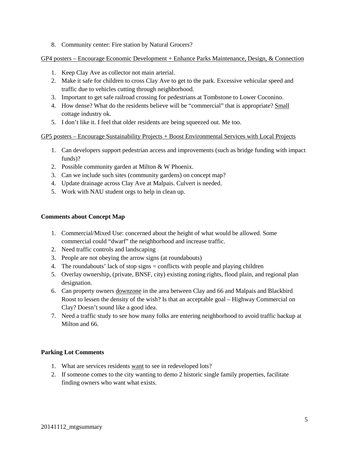8. Community center: Fire station by Natural Grocers?

GP4 posters – Encourage Economic Development + Enhance Parks Maintenance, Design, & Connection

- 1. Keep Clay Ave as collector not main arterial.
- 2. Make it safe for children to cross Clay Ave to get to the park. Excessive vehicular speed and traffic due to vehicles cutting through neighborhood.
- 3. Important to get safe railroad crossing for pedestrians at Tombstone to Lower Coconino.
- 4. How dense? What do the residents believe will be "commercial" that is appropriate? Small cottage industry ok.
- 5. I don't like it. I feel that older residents are being squeezed out. Me too.

#### GP5 posters – Encourage Sustainability Projects + Boost Environmental Services with Local Projects

- 1. Can developers support pedestrian access and improvements (such as bridge funding with impact funds)?
- 2. Possible community garden at Milton & W Phoenix.
- 3. Can we include such sites (community gardens) on concept map?
- 4. Update drainage across Clay Ave at Malpais. Culvert is needed.
- 5. Work with NAU student orgs to help in clean up.

#### **Comments about Concept Map**

- 1. Commercial/Mixed Use: concerned about the height of what would be allowed. Some commercial could "dwarf" the neighborhood and increase traffic.
- 2. Need traffic controls and landscaping
- 3. People are not obeying the arrow signs (at roundabouts)
- 4. The roundabouts' lack of stop signs = conflicts with people and playing children
- 5. Overlay ownership, (private, BNSF, city) existing zoning rights, flood plain, and regional plan designation.
- 6. Can property owners downzone in the area between Clay and 66 and Malpais and Blackbird Roost to lessen the density of the wish? Is that an acceptable goal – Highway Commercial on Clay? Doesn't sound like a good idea.
- 7. Need a traffic study to see how many folks are entering neighborhood to avoid traffic backup at Milton and 66.

#### **Parking Lot Comments**

- 1. What are services residents want to see in redeveloped lots?
- 2. If someone comes to the city wanting to demo 2 historic single family properties, facilitate finding owners who want what exists.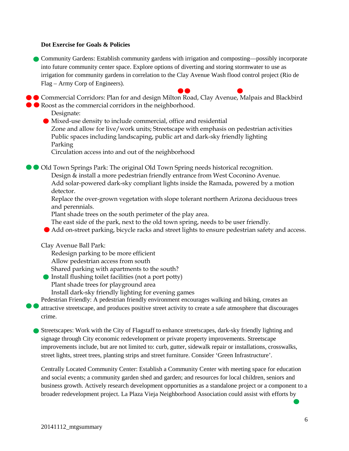#### **Dot Exercise for Goals & Policies**

Community Gardens: Establish community gardens with irrigation and composting—possibly incorporate into future community center space. Explore options of diverting and storing stormwater to use as irrigation for community gardens in correlation to the Clay Avenue Wash flood control project (Rio de Flag – Army Corp of Engineers).

**Commercial Corridors: Plan for and design Milton Road, Clay Avenue, Malpais and Blackbird • Roost as the commercial corridors in the neighborhood.** 

Designate:

Mixed-use density to include commercial, office and residential Zone and allow for live/work units; Streetscape with emphasis on pedestrian activities Public spaces including landscaping, public art and dark-sky friendly lighting Parking

Circulation access into and out of the neighborhood

Old Town Springs Park: The original Old Town Spring needs historical recognition. Design & install a more pedestrian friendly entrance from West Coconino Avenue. Add solar-powered dark-sky compliant lights inside the Ramada, powered by a motion

detector.

Replace the over-grown vegetation with slope tolerant northern Arizona deciduous trees and perennials.

Plant shade trees on the south perimeter of the play area.

The east side of the park, next to the old town spring, needs to be user friendly.

Add on-street parking, bicycle racks and street lights to ensure pedestrian safety and access.

Clay Avenue Ball Park:

Redesign parking to be more efficient

Allow pedestrian access from south

Shared parking with apartments to the south?

Install flushing toilet facilities (not a port potty)

Plant shade trees for playground area

Install dark-sky friendly lighting for evening games

Pedestrian Friendly: A pedestrian friendly environment encourages walking and biking, creates an attractive streetscape, and produces positive street activity to create a safe atmosphere that discourages crime.

Streetscapes: Work with the City of Flagstaff to enhance streetscapes, dark-sky friendly lighting and signage through City economic redevelopment or private property improvements. Streetscape improvements include, but are not limited to: curb, gutter, sidewalk repair or installations, crosswalks, street lights, street trees, planting strips and street furniture. Consider 'Green Infrastructure'.

Centrally Located Community Center: Establish a Community Center with meeting space for education and social events; a community garden shed and garden; and resources for local children, seniors and business growth. Actively research development opportunities as a standalone project or a component to a broader redevelopment project. La Plaza Vieja Neighborhood Association could assist with efforts by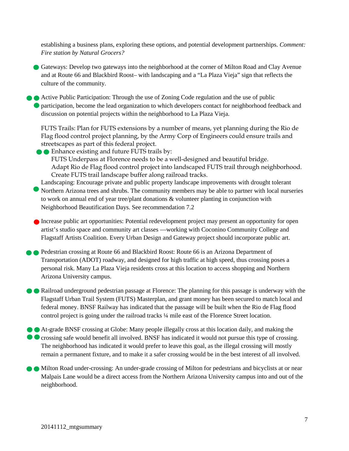establishing a business plans, exploring these options, and potential development partnerships. *Comment: Fire station by Natural Grocers?*

Gateways: Develop two gateways into the neighborhood at the corner of Milton Road and Clay Avenue and at Route 66 and Blackbird Roost– with landscaping and a "La Plaza Vieja" sign that reflects the culture of the community.

Active Public Participation: Through the use of Zoning Code regulation and the use of public participation, become the lead organization to which developers contact for neighborhood feedback and discussion on potential projects within the neighborhood to La Plaza Vieja.

FUTS Trails: Plan for FUTS extensions by a number of means, yet planning during the Rio de Flag flood control project planning, by the Army Corp of Engineers could ensure trails and streetscapes as part of this federal project.

**Enhance existing and future FUTS trails by:** 

FUTS Underpass at Florence needs to be a well-designed and beautiful bridge. Adapt Rio de Flag flood control project into landscaped FUTS trail through neighborhood. Create FUTS trail landscape buffer along railroad tracks.

Landscaping: Encourage private and public property landscape improvements with drought tolerant Northern Arizona trees and shrubs. The community members may be able to partner with local nurseries to work on annual end of year tree/plant donations & volunteer planting in conjunction with Neighborhood Beautification Days. See recommendation 7.2

Increase public art opportunities: Potential redevelopment project may present an opportunity for open artist's studio space and community art classes —working with Coconino Community College and Flagstaff Artists Coalition. Every Urban Design and Gateway project should incorporate public art.

Pedestrian crossing at Route 66 and Blackbird Roost: Route 66 is an Arizona Department of Transportation (ADOT) roadway, and designed for high traffic at high speed, thus crossing poses a personal risk. Many La Plaza Vieja residents cross at this location to access shopping and Northern Arizona University campus.

Railroad underground pedestrian passage at Florence: The planning for this passage is underway with the Flagstaff Urban Trail System (FUTS) Masterplan, and grant money has been secured to match local and federal money. BNSF Railway has indicated that the passage will be built when the Rio de Flag flood control project is going under the railroad tracks ¼ mile east of the Florence Street location.

At-grade BNSF crossing at Globe: Many people illegally cross at this location daily, and making the **C** crossing safe would benefit all involved. BNSF has indicated it would not pursue this type of crossing. The neighborhood has indicated it would prefer to leave this goal, as the illegal crossing will mostly remain a permanent fixture, and to make it a safer crossing would be in the best interest of all involved.

 $\bullet$  Milton Road under-crossing: An under-grade crossing of Milton for pedestrians and bicyclists at or near Malpais Lane would be a direct access from the Northern Arizona University campus into and out of the neighborhood.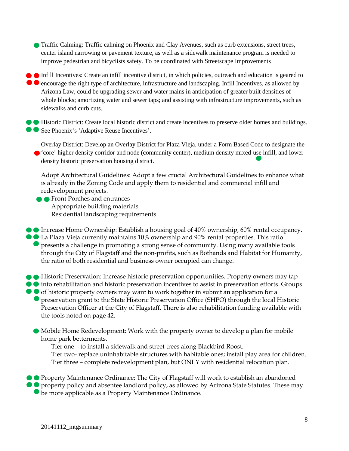Traffic Calming: Traffic calming on Phoenix and Clay Avenues, such as curb extensions, street trees, center island narrowing or pavement texture, as well as a sidewalk maintenance program is needed to improve pedestrian and bicyclists safety. To be coordinated with Streetscape Improvements

Infill Incentives: Create an infill incentive district, in which policies, outreach and education is geared to **e** encourage the right type of architecture, infrastructure and landscaping. Infill Incentives, as allowed by Arizona Law, could be upgrading sewer and water mains in anticipation of greater built densities of whole blocks; amortizing water and sewer taps; and assisting with infrastructure improvements, such as sidewalks and curb cuts.

Historic District: Create local historic district and create incentives to preserve older homes and buildings. ● See Phoenix's 'Adaptive Reuse Incentives'.

Overlay District: Develop an Overlay District for Plaza Vieja, under a Form Based Code to designate the 'core' higher density corridor and node (community center), medium density mixed-use infill, and lowerdensity historic preservation housing district.

Adopt Architectural Guidelines: Adopt a few crucial Architectural Guidelines to enhance what is already in the Zoning Code and apply them to residential and commercial infill and redevelopment projects.

**Front Porches and entrances** Appropriate building materials Residential landscaping requirements

Increase Home Ownership: Establish a housing goal of 40% ownership, 60% rental occupancy. La Plaza Vieja currently maintains 10% ownership and 90% rental properties. This ratio **•** presents a challenge in promoting a strong sense of community. Using many available tools through the City of Flagstaff and the non-profits, such as Bothands and Habitat for Humanity, the ratio of both residential and business owner occupied can change.

- Historic Preservation: Increase historic preservation opportunities. Property owners may tap
- $\bullet$  into rehabilitation and historic preservation incentives to assist in preservation efforts. Groups
- of historic property owners may want to work together in submit an application for a **O** preservation grant to the State Historic Preservation Office (SHPO) through the local Historic Preservation Officer at the City of Flagstaff. There is also rehabilitation funding available with the tools noted on page 42.
	- Mobile Home Redevelopment: Work with the property owner to develop a plan for mobile home park betterments.

Tier one – to install a sidewalk and street trees along Blackbird Roost. Tier two- replace uninhabitable structures with habitable ones; install play area for children. Tier three – complete redevelopment plan, but ONLY with residential relocation plan.

**• Property Maintenance Ordinance: The City of Flagstaff will work to establish an abandoned O** property policy and absentee landlord policy, as allowed by Arizona State Statutes. These may be more applicable as a Property Maintenance Ordinance.